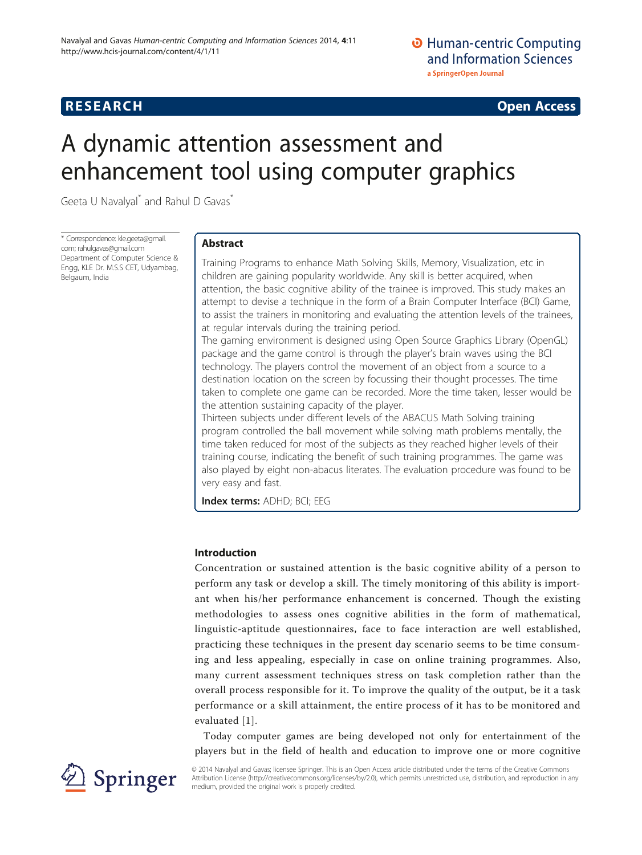# **RESEARCH RESEARCH CONSUMING ACCESS**

# A dynamic attention assessment and enhancement tool using computer graphics

Geeta U Navalyal<sup>\*</sup> and Rahul D Gavas<sup>\*</sup>

\* Correspondence: [kle.geeta@gmail.](mailto:kle.geeta@gmail.com) [com](mailto:kle.geeta@gmail.com); [rahulgavas@gmail.com](mailto:rahulgavas@gmail.com) Department of Computer Science & Engg, KLE Dr. M.S.S CET, Udyambag, Belgaum, India

# Abstract

Training Programs to enhance Math Solving Skills, Memory, Visualization, etc in children are gaining popularity worldwide. Any skill is better acquired, when attention, the basic cognitive ability of the trainee is improved. This study makes an attempt to devise a technique in the form of a Brain Computer Interface (BCI) Game, to assist the trainers in monitoring and evaluating the attention levels of the trainees, at regular intervals during the training period.

The gaming environment is designed using Open Source Graphics Library (OpenGL) package and the game control is through the player's brain waves using the BCI technology. The players control the movement of an object from a source to a destination location on the screen by focussing their thought processes. The time taken to complete one game can be recorded. More the time taken, lesser would be the attention sustaining capacity of the player.

Thirteen subjects under different levels of the ABACUS Math Solving training program controlled the ball movement while solving math problems mentally, the time taken reduced for most of the subjects as they reached higher levels of their training course, indicating the benefit of such training programmes. The game was also played by eight non-abacus literates. The evaluation procedure was found to be very easy and fast.

Index terms: ADHD; BCI; EEG

# Introduction

Concentration or sustained attention is the basic cognitive ability of a person to perform any task or develop a skill. The timely monitoring of this ability is important when his/her performance enhancement is concerned. Though the existing methodologies to assess ones cognitive abilities in the form of mathematical, linguistic-aptitude questionnaires, face to face interaction are well established, practicing these techniques in the present day scenario seems to be time consuming and less appealing, especially in case on online training programmes. Also, many current assessment techniques stress on task completion rather than the overall process responsible for it. To improve the quality of the output, be it a task performance or a skill attainment, the entire process of it has to be monitored and evaluated [[1](#page-6-0)].

Today computer games are being developed not only for entertainment of the players but in the field of health and education to improve one or more cognitive



© 2014 Navalyal and Gavas; licensee Springer. This is an Open Access article distributed under the terms of the Creative Commons Attribution License [\(http://creativecommons.org/licenses/by/2.0\)](http://creativecommons.org/licenses/by/2.0), which permits unrestricted use, distribution, and reproduction in any medium, provided the original work is properly credited.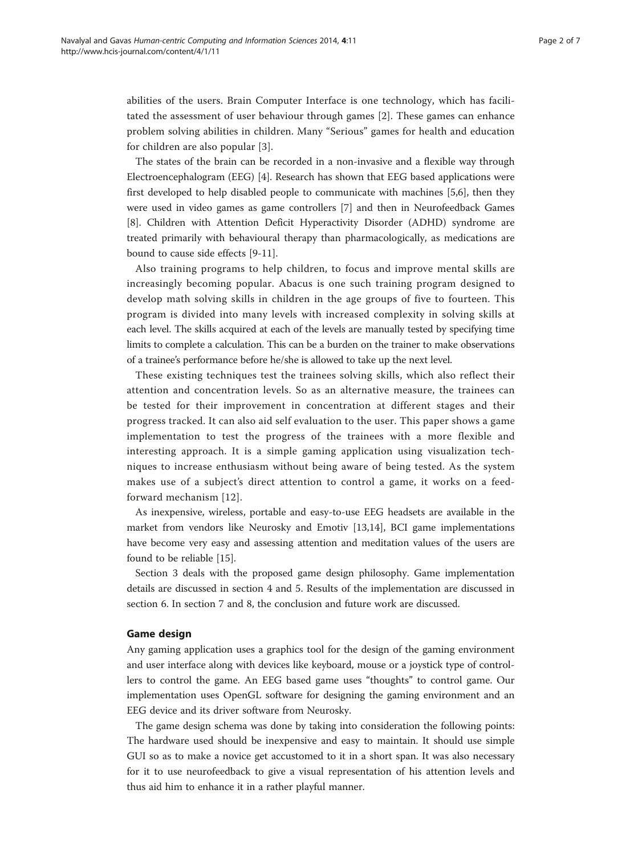abilities of the users. Brain Computer Interface is one technology, which has facilitated the assessment of user behaviour through games [[2](#page-6-0)]. These games can enhance problem solving abilities in children. Many "Serious" games for health and education for children are also popular [[3](#page-6-0)].

The states of the brain can be recorded in a non-invasive and a flexible way through Electroencephalogram (EEG) [\[4](#page-6-0)]. Research has shown that EEG based applications were first developed to help disabled people to communicate with machines [[5,6\]](#page-6-0), then they were used in video games as game controllers [\[7](#page-6-0)] and then in Neurofeedback Games [[8\]](#page-6-0). Children with Attention Deficit Hyperactivity Disorder (ADHD) syndrome are treated primarily with behavioural therapy than pharmacologically, as medications are bound to cause side effects [\[9](#page-6-0)-[11\]](#page-6-0).

Also training programs to help children, to focus and improve mental skills are increasingly becoming popular. Abacus is one such training program designed to develop math solving skills in children in the age groups of five to fourteen. This program is divided into many levels with increased complexity in solving skills at each level. The skills acquired at each of the levels are manually tested by specifying time limits to complete a calculation. This can be a burden on the trainer to make observations of a trainee's performance before he/she is allowed to take up the next level.

These existing techniques test the trainees solving skills, which also reflect their attention and concentration levels. So as an alternative measure, the trainees can be tested for their improvement in concentration at different stages and their progress tracked. It can also aid self evaluation to the user. This paper shows a game implementation to test the progress of the trainees with a more flexible and interesting approach. It is a simple gaming application using visualization techniques to increase enthusiasm without being aware of being tested. As the system makes use of a subject's direct attention to control a game, it works on a feedforward mechanism [[12](#page-6-0)].

As inexpensive, wireless, portable and easy-to-use EEG headsets are available in the market from vendors like Neurosky and Emotiv [[13,14\]](#page-6-0), BCI game implementations have become very easy and assessing attention and meditation values of the users are found to be reliable [[15\]](#page-6-0).

Section 3 deals with the proposed game design philosophy. Game implementation details are discussed in section 4 and 5. Results of the implementation are discussed in section 6. In section 7 and 8, the conclusion and future work are discussed.

# Game design

Any gaming application uses a graphics tool for the design of the gaming environment and user interface along with devices like keyboard, mouse or a joystick type of controllers to control the game. An EEG based game uses "thoughts" to control game. Our implementation uses OpenGL software for designing the gaming environment and an EEG device and its driver software from Neurosky.

The game design schema was done by taking into consideration the following points: The hardware used should be inexpensive and easy to maintain. It should use simple GUI so as to make a novice get accustomed to it in a short span. It was also necessary for it to use neurofeedback to give a visual representation of his attention levels and thus aid him to enhance it in a rather playful manner.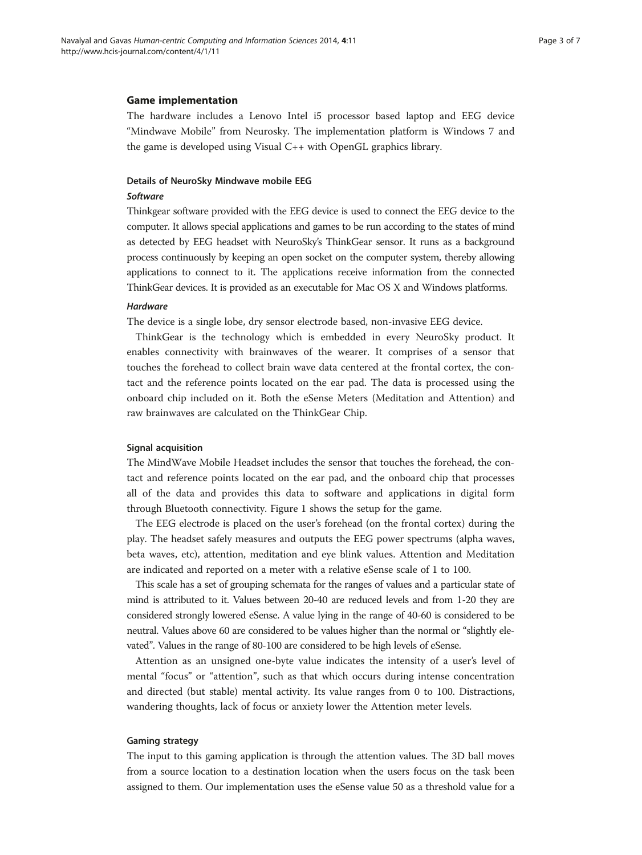# Game implementation

The hardware includes a Lenovo Intel i5 processor based laptop and EEG device "Mindwave Mobile" from Neurosky. The implementation platform is Windows 7 and the game is developed using Visual C++ with OpenGL graphics library.

# Details of NeuroSky Mindwave mobile EEG

#### **Software**

Thinkgear software provided with the EEG device is used to connect the EEG device to the computer. It allows special applications and games to be run according to the states of mind as detected by EEG headset with NeuroSky's ThinkGear sensor. It runs as a background process continuously by keeping an open socket on the computer system, thereby allowing applications to connect to it. The applications receive information from the connected ThinkGear devices. It is provided as an executable for Mac OS X and Windows platforms.

# **Hardware**

The device is a single lobe, dry sensor electrode based, non-invasive EEG device.

ThinkGear is the technology which is embedded in every NeuroSky product. It enables connectivity with brainwaves of the wearer. It comprises of a sensor that touches the forehead to collect brain wave data centered at the frontal cortex, the contact and the reference points located on the ear pad. The data is processed using the onboard chip included on it. Both the eSense Meters (Meditation and Attention) and raw brainwaves are calculated on the ThinkGear Chip.

# Signal acquisition

The MindWave Mobile Headset includes the sensor that touches the forehead, the contact and reference points located on the ear pad, and the onboard chip that processes all of the data and provides this data to software and applications in digital form through Bluetooth connectivity. Figure [1](#page-3-0) shows the setup for the game.

The EEG electrode is placed on the user's forehead (on the frontal cortex) during the play. The headset safely measures and outputs the EEG power spectrums (alpha waves, beta waves, etc), attention, meditation and eye blink values. Attention and Meditation are indicated and reported on a meter with a relative eSense scale of 1 to 100.

This scale has a set of grouping schemata for the ranges of values and a particular state of mind is attributed to it. Values between 20-40 are reduced levels and from 1-20 they are considered strongly lowered eSense. A value lying in the range of 40-60 is considered to be neutral. Values above 60 are considered to be values higher than the normal or "slightly elevated". Values in the range of 80-100 are considered to be high levels of eSense.

Attention as an unsigned one-byte value indicates the intensity of a user's level of mental "focus" or "attention", such as that which occurs during intense concentration and directed (but stable) mental activity. Its value ranges from 0 to 100. Distractions, wandering thoughts, lack of focus or anxiety lower the Attention meter levels.

# Gaming strategy

The input to this gaming application is through the attention values. The 3D ball moves from a source location to a destination location when the users focus on the task been assigned to them. Our implementation uses the eSense value 50 as a threshold value for a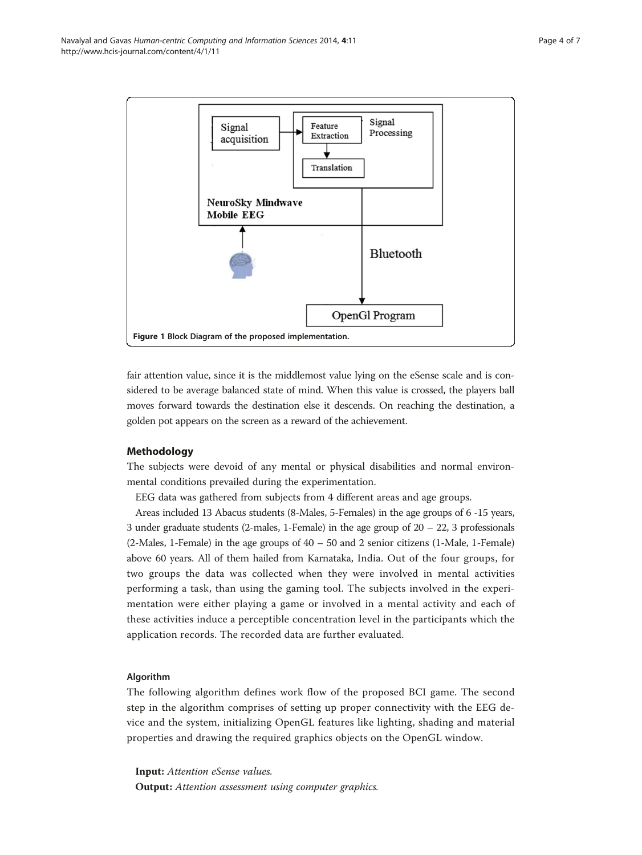<span id="page-3-0"></span>

fair attention value, since it is the middlemost value lying on the eSense scale and is considered to be average balanced state of mind. When this value is crossed, the players ball moves forward towards the destination else it descends. On reaching the destination, a golden pot appears on the screen as a reward of the achievement.

# Methodology

The subjects were devoid of any mental or physical disabilities and normal environmental conditions prevailed during the experimentation.

EEG data was gathered from subjects from 4 different areas and age groups.

Areas included 13 Abacus students (8-Males, 5-Females) in the age groups of 6 -15 years, 3 under graduate students (2-males, 1-Female) in the age group of 20 – 22, 3 professionals  $(2-\text{Males}, 1-\text{Female})$  in the age groups of  $40-50$  and 2 senior citizens  $(1-\text{Male}, 1-\text{Female})$ above 60 years. All of them hailed from Karnataka, India. Out of the four groups, for two groups the data was collected when they were involved in mental activities performing a task, than using the gaming tool. The subjects involved in the experimentation were either playing a game or involved in a mental activity and each of these activities induce a perceptible concentration level in the participants which the application records. The recorded data are further evaluated.

# Algorithm

The following algorithm defines work flow of the proposed BCI game. The second step in the algorithm comprises of setting up proper connectivity with the EEG device and the system, initializing OpenGL features like lighting, shading and material properties and drawing the required graphics objects on the OpenGL window.

Input: Attention eSense values. Output: Attention assessment using computer graphics.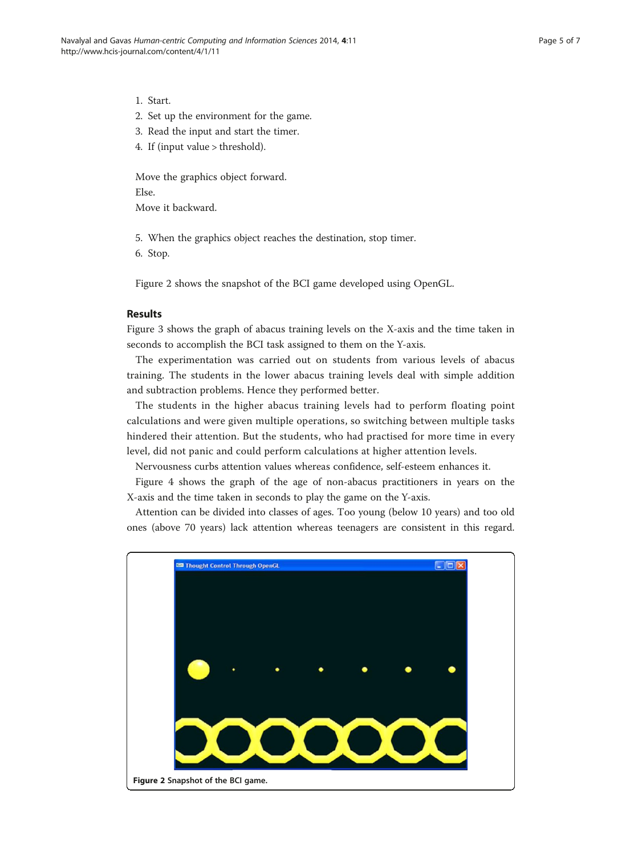- 1. Start.
- 2. Set up the environment for the game.
- 3. Read the input and start the timer.
- 4. If (input value > threshold).

Move the graphics object forward. Else.

Move it backward.

5. When the graphics object reaches the destination, stop timer.

6. Stop.

Figure 2 shows the snapshot of the BCI game developed using OpenGL.

# Results

Figure [3](#page-5-0) shows the graph of abacus training levels on the X-axis and the time taken in seconds to accomplish the BCI task assigned to them on the Y-axis.

The experimentation was carried out on students from various levels of abacus training. The students in the lower abacus training levels deal with simple addition and subtraction problems. Hence they performed better.

The students in the higher abacus training levels had to perform floating point calculations and were given multiple operations, so switching between multiple tasks hindered their attention. But the students, who had practised for more time in every level, did not panic and could perform calculations at higher attention levels.

Nervousness curbs attention values whereas confidence, self-esteem enhances it.

Figure [4](#page-5-0) shows the graph of the age of non-abacus practitioners in years on the X-axis and the time taken in seconds to play the game on the Y-axis.

Attention can be divided into classes of ages. Too young (below 10 years) and too old ones (above 70 years) lack attention whereas teenagers are consistent in this regard.

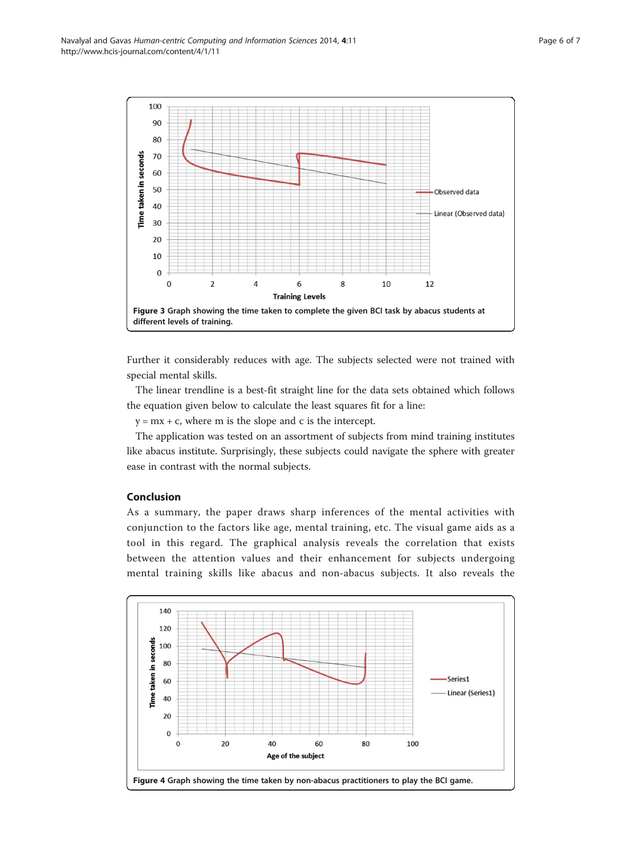<span id="page-5-0"></span>

Further it considerably reduces with age. The subjects selected were not trained with special mental skills.

The linear trendline is a best-fit straight line for the data sets obtained which follows the equation given below to calculate the least squares fit for a line:

 $y = mx + c$ , where m is the slope and c is the intercept.

The application was tested on an assortment of subjects from mind training institutes like abacus institute. Surprisingly, these subjects could navigate the sphere with greater ease in contrast with the normal subjects.

# Conclusion

As a summary, the paper draws sharp inferences of the mental activities with conjunction to the factors like age, mental training, etc. The visual game aids as a tool in this regard. The graphical analysis reveals the correlation that exists between the attention values and their enhancement for subjects undergoing mental training skills like abacus and non-abacus subjects. It also reveals the